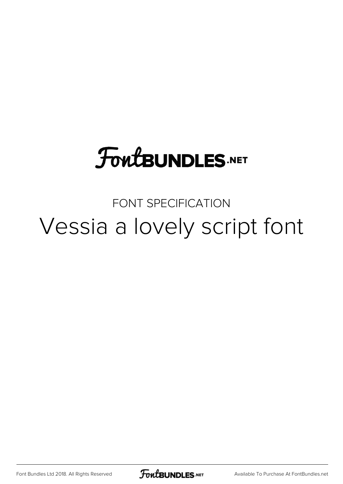## **FoutBUNDLES.NET**

FONT SPECIFICATION Vessia a lovely script font

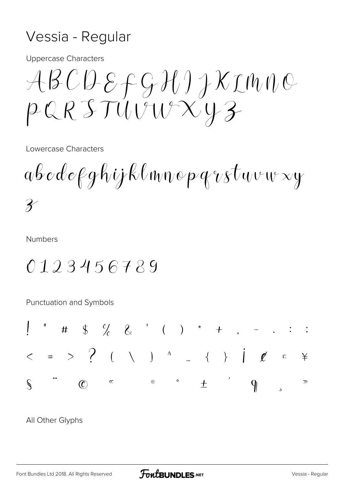## Vessia - Regular

**Uppercase Characters** 

 $\mathcal{A}\mathcal{B}\mathcal{C}\mathcal{D}\mathcal{E}\mathcal{F}\mathcal{G}\mathcal{H}\mathcal{H}\mathcal{H}\mathcal{K}\mathcal{I}\mathcal{W}\mathcal{W}\mathcal{O}$  $PQRSTUVWXXY3$ 

Lowercase Characters

 $\overline{\mathcal{X}}$ 

**Numbers** 

## 0123456789

Punctuation and Symbols



All Other Glyphs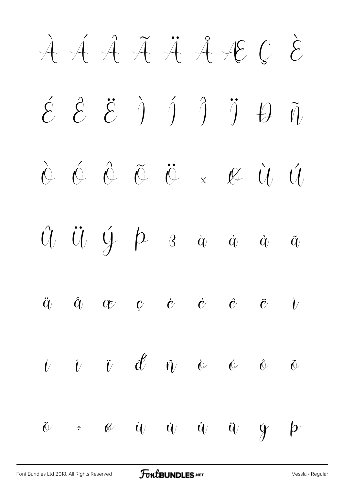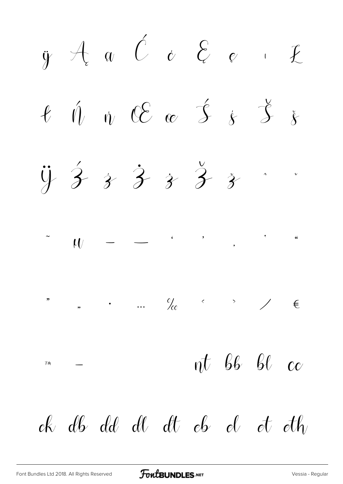$\ddot{y}$   $\forall$   $\alpha$   $\beta$   $\alpha$   $\beta$   $\beta$   $\alpha$   $\beta$ ł Ń ń Œ œ Ś ś Š š  $4 + 3 + 3 + 3 + 3$  $\mathcal{U}$  – – ' '  $\mathcal{U}$   $\longrightarrow$ " " • … ‰ ‹ › ⁄ €  $\eta$ <sup>π</sup> −  $\eta$ <sup>†</sup>  $\beta$ <sup>6</sup>  $\beta$ <sup>0</sup>  $\alpha$ ck db dd dl dt eb el et eth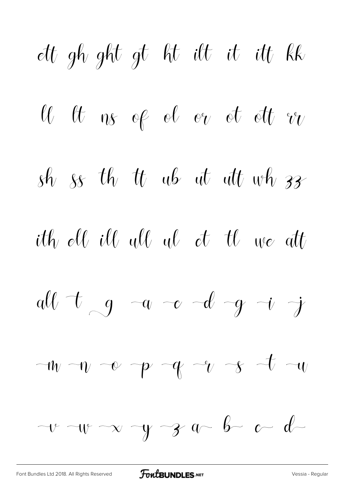